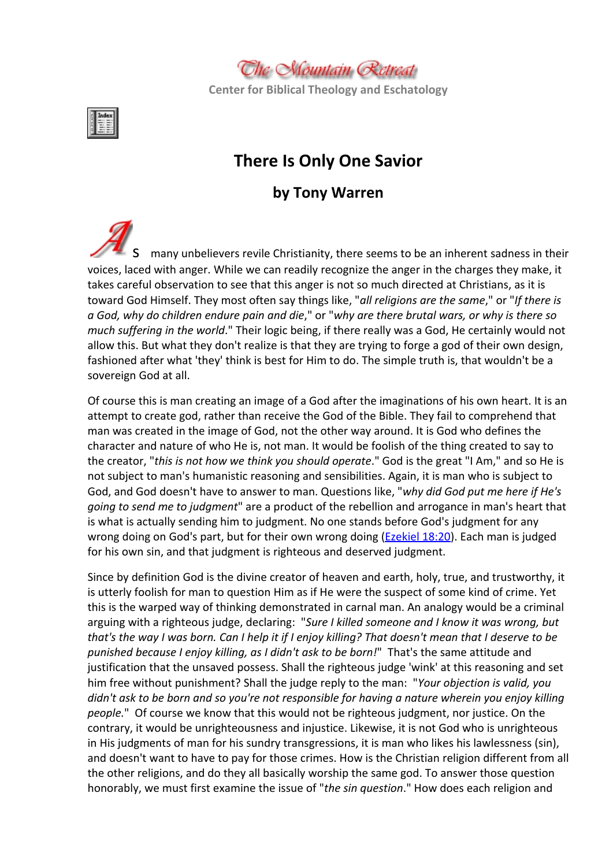

**Center for Biblical Theology and Eschatology**



# **There Is Only One Savior**

# **by Tony Warren**

many unbelievers revile Christianity, there seems to be an inherent sadness in their voices, laced with anger. While we can readily recognize the anger in the charges they make, it takes careful observation to see that this anger is not so much directed at Christians, as it is toward God Himself. They most often say things like, "*all religions are the same*," or "*If there is* a God, why do children endure pain and die," or "why are there brutal wars, or why is there so *much suffering in the world*." Their logic being, if there really was a God, He certainly would not allow this. But what they don't realize is that they are trying to forge a god of their own design, fashioned after what 'they' think is best for Him to do. The simple truth is, that wouldn't be a sovereign God at all.

Of course this is man creating an image of a God after the imaginations of his own heart. It is an attempt to create god, rather than receive the God of the Bible. They fail to comprehend that man was created in the image of God, not the other way around. It is God who defines the character and nature of who He is, not man. It would be foolish of the thing created to say to the creator, "*this is not how we think you should operate*." God is the great "I Am," and so He is not subject to man's humanistic reasoning and sensibilities. Again, it is man who is subject to God, and God doesn't have to answer to man. Questions like, "*why did God put me here if He's going to send me to judgment*" are a product of the rebellion and arrogance in man's heart that is what is actually sending him to judgment. No one stands before God's judgment for any wrong doing on God's part, but for their own wrong doing ([Ezekiel](http://www.mountainretreat.org/bibleit/bibleit.cgi) [18:20\)](http://www.mountainretreat.org/bibleit/bibleit.cgi). Each man is judged for his own sin, and that judgment is righteous and deserved judgment.

Since by definition God is the divine creator of heaven and earth, holy, true, and trustworthy, it is utterly foolish for man to question Him as if He were the suspect of some kind of crime. Yet this is the warped way of thinking demonstrated in carnal man. An analogy would be a criminal arguing with a righteous judge, declaring: "*Sure I killed someone and I know it was wrong, but* that's the way I was born. Can I help it if I enjoy killing? That doesn't mean that I deserve to be *punished because I enjoy killing, as I didn't ask to be born!*" That's the same attitude and justification that the unsaved possess. Shall the righteous judge 'wink' at this reasoning and set him free without punishment? Shall the judge reply to the man: "*Your objection is valid, you didn't ask to be born and so you're not responsible for having a nature wherein you enjoy killing people.*" Of course we know that this would not be righteous judgment, nor justice. On the contrary, it would be unrighteousness and injustice. Likewise, it is not God who is unrighteous in His judgments of man for his sundry transgressions, it is man who likes his lawlessness (sin), and doesn't want to have to pay for those crimes. How is the Christian religion different from all the other religions, and do they all basically worship the same god. To answer those question honorably, we must first examine the issue of "*the sin question*." How does each religion and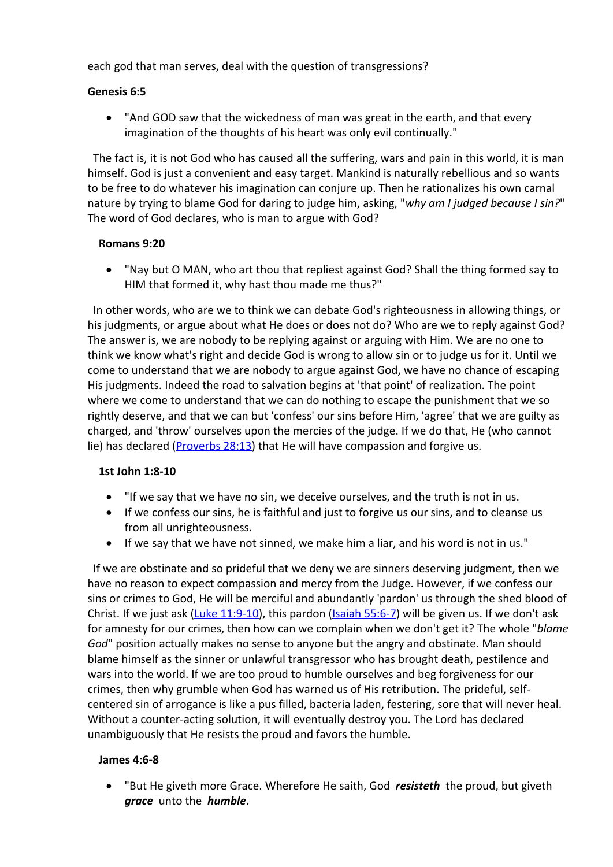each god that man serves, deal with the question of transgressions?

# **Genesis 6:5**

 "And GOD saw that the wickedness of man was great in the earth, and that every imagination of the thoughts of his heart was only evil continually."

The fact is, it is not God who has caused all the suffering, wars and pain in this world, it is man himself. God is just a convenient and easy target. Mankind is naturally rebellious and so wants to be free to do whatever his imagination can conjure up. Then he rationalizes his own carnal nature by trying to blame God for daring to judge him, asking, "*why am I judged because I sin?*" The word of God declares, who is man to argue with God?

#### **Romans 9:20**

 "Nay but O MAN, who art thou that repliest against God? Shall the thing formed say to HIM that formed it, why hast thou made me thus?"

In other words, who are we to think we can debate God's righteousness in allowing things, or his judgments, or argue about what He does or does not do? Who are we to reply against God? The answer is, we are nobody to be replying against or arguing with Him. We are no one to think we know what's right and decide God is wrong to allow sin or to judge us for it. Until we come to understand that we are nobody to argue against God, we have no chance of escaping His judgments. Indeed the road to salvation begins at 'that point' of realization. The point where we come to understand that we can do nothing to escape the punishment that we so rightly deserve, and that we can but 'confess' our sins before Him, 'agree' that we are guilty as charged, and 'throw' ourselves upon the mercies of the judge. If we do that, He (who cannot lie) has declared ([Proverbs](http://www.mountainretreat.org/bibleit/bibleit.cgi) [28:13\)](http://www.mountainretreat.org/bibleit/bibleit.cgi) that He will have compassion and forgive us.

# **1st John 1:8-10**

- "If we say that we have no sin, we deceive ourselves, and the truth is not in us.
- If we confess our sins, he is faithful and just to forgive us our sins, and to cleanse us from all unrighteousness.
- If we say that we have not sinned, we make him a liar, and his word is not in us."

If we are obstinate and so prideful that we deny we are sinners deserving judgment, then we have no reason to expect compassion and mercy from the Judge. However, if we confess our sins or crimes to God, He will be merciful and abundantly 'pardon' us through the shed blood of Christ. If we just ask ([Luke](http://www.mountainretreat.org/bibleit/bibleit.cgi)  $11:9-10$ ), this pardon ([Isaiah](http://www.mountainretreat.org/bibleit/bibleit.cgi) [55:6-7\)](http://www.mountainretreat.org/bibleit/bibleit.cgi) will be given us. If we don't ask for amnesty for our crimes, then how can we complain when we don't get it? The whole "*blame God*" position actually makes no sense to anyone but the angry and obstinate. Man should blame himself as the sinner or unlawful transgressor who has brought death, pestilence and wars into the world. If we are too proud to humble ourselves and beg forgiveness for our crimes, then why grumble when God has warned us of His retribution. The prideful, selfcentered sin of arrogance is like a pus filled, bacteria laden, festering, sore that will never heal. Without a counter-acting solution, it will eventually destroy you. The Lord has declared unambiguously that He resists the proud and favors the humble.

# **James 4:6-8**

 "But He giveth more Grace. Wherefore He saith, God *resisteth* the proud, but giveth *grace* unto the *humble***.**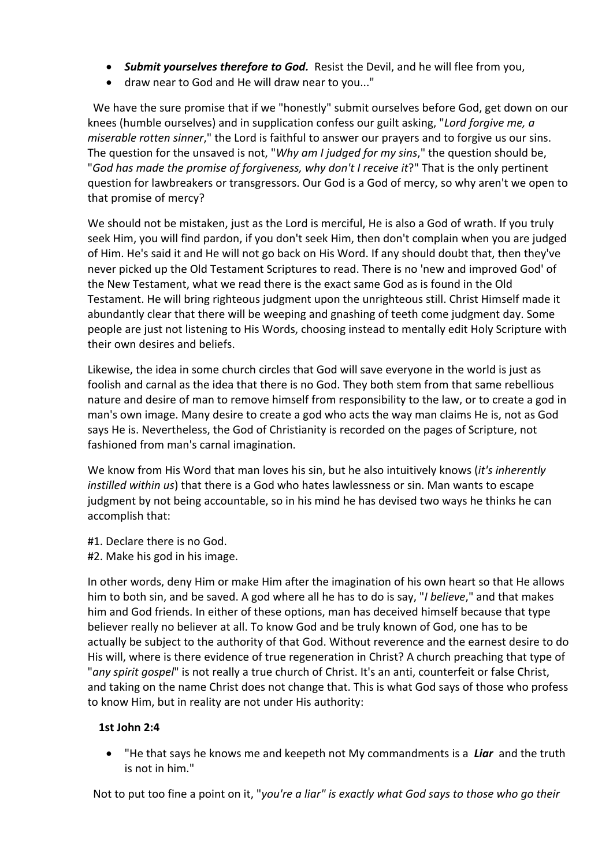- *Submit yourselves therefore to God.* Resist the Devil, and he will flee from you,
- draw near to God and He will draw near to you..."

We have the sure promise that if we "honestly" submit ourselves before God, get down on our knees (humble ourselves) and in supplication confess our guilt asking, "*Lord forgive me, a miserable rotten sinner*," the Lord is faithful to answer our prayers and to forgive us our sins. The question for the unsaved is not, "*Why am I judged for my sins*," the question should be, "*God has made the promise of forgiveness, why don't I receive it*?" That is the only pertinent question for lawbreakers or transgressors. Our God is a God of mercy, so why aren't we open to that promise of mercy?

We should not be mistaken, just as the Lord is merciful, He is also a God of wrath. If you truly seek Him, you will find pardon, if you don't seek Him, then don't complain when you are judged of Him. He's said it and He will not go back on His Word. If any should doubt that, then they've never picked up the Old Testament Scriptures to read. There is no 'new and improved God' of the New Testament, what we read there is the exact same God as is found in the Old Testament. He will bring righteous judgment upon the unrighteous still. Christ Himself made it abundantly clear that there will be weeping and gnashing of teeth come judgment day. Some people are just not listening to His Words, choosing instead to mentally edit Holy Scripture with their own desires and beliefs.

Likewise, the idea in some church circles that God will save everyone in the world is just as foolish and carnal as the idea that there is no God. They both stem from that same rebellious nature and desire of man to remove himself from responsibility to the law, or to create a god in man's own image. Many desire to create a god who acts the way man claims He is, not as God says He is. Nevertheless, the God of Christianity is recorded on the pages of Scripture, not fashioned from man's carnal imagination.

We know from His Word that man loves his sin, but he also intuitively knows (*it's inherently instilled within us*) that there is a God who hates lawlessness or sin. Man wants to escape judgment by not being accountable, so in his mind he has devised two ways he thinks he can accomplish that:

- #1. Declare there is no God.
- #2. Make his god in his image.

In other words, deny Him or make Him after the imagination of his own heart so that He allows him to both sin, and be saved. A god where all he has to do is say, "*I believe*," and that makes him and God friends. In either of these options, man has deceived himself because that type believer really no believer at all. To know God and be truly known of God, one has to be actually be subject to the authority of that God. Without reverence and the earnest desire to do His will, where is there evidence of true regeneration in Christ? A church preaching that type of "*any spirit gospel*" is not really a true church of Christ. It's an anti, counterfeit or false Christ, and taking on the name Christ does not change that. This is what God says of those who profess to know Him, but in reality are not under His authority:

# **1st John 2:4**

 "He that says he knows me and keepeth not My commandments is a *Liar* and the truth is not in him."

Not to put too fine a point on it, "*you're a liar" is exactly what God says to those who go their*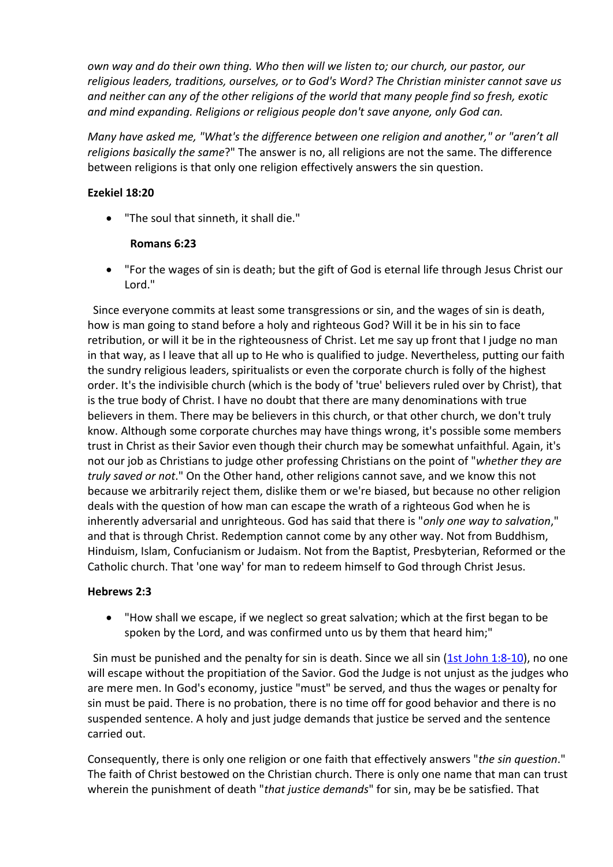*own way and do their own thing. Who then will we listen to; our church, our pastor, our religious leaders, traditions, ourselves, or to God's Word? The Christian minister cannot save us and neither can any of the other religions of the world that many people find so fresh, exotic and mind expanding. Religions or religious people don't save anyone, only God can.*

*Many have asked me, "What's the difference between one religion and another," or "aren't all religions basically the same*?" The answer is no, all religions are not the same. The difference between religions is that only one religion effectively answers the sin question.

# **Ezekiel 18:20**

"The soul that sinneth, it shall die."

# **Romans 6:23**

 "For the wages of sin is death; but the gift of God is eternal life through Jesus Christ our Lord."

Since everyone commits at least some transgressions or sin, and the wages of sin is death, how is man going to stand before a holy and righteous God? Will it be in his sin to face retribution, or will it be in the righteousness of Christ. Let me say up front that I judge no man in that way, as I leave that all up to He who is qualified to judge. Nevertheless, putting our faith the sundry religious leaders, spiritualists or even the corporate church is folly of the highest order. It's the indivisible church (which is the body of 'true' believers ruled over by Christ), that is the true body of Christ. I have no doubt that there are many denominations with true believers in them. There may be believers in this church, or that other church, we don't truly know. Although some corporate churches may have things wrong, it's possible some members trust in Christ as their Savior even though their church may be somewhat unfaithful. Again, it's not our job as Christians to judge other professing Christians on the point of "*whether they are truly saved or not*." On the Other hand, other religions cannot save, and we know this not because we arbitrarily reject them, dislike them or we're biased, but because no other religion deals with the question of how man can escape the wrath of a righteous God when he is inherently adversarial and unrighteous. God has said that there is "*only one way to salvation*," and that is through Christ. Redemption cannot come by any other way. Not from Buddhism, Hinduism, Islam, Confucianism or Judaism. Not from the Baptist, Presbyterian, Reformed or the Catholic church. That 'one way' for man to redeem himself to God through Christ Jesus.

# **Hebrews 2:3**

 "How shall we escape, if we neglect so great salvation; which at the first began to be spoken by the Lord, and was confirmed unto us by them that heard him;"

Sin must be punished and the penalty for sin is death. Since we all sin [\(1st](http://www.mountainretreat.org/bibleit/bibleit.cgi) [John](http://www.mountainretreat.org/bibleit/bibleit.cgi) [1:8-10\)](http://www.mountainretreat.org/bibleit/bibleit.cgi), no one will escape without the propitiation of the Savior. God the Judge is not unjust as the judges who are mere men. In God's economy, justice "must" be served, and thus the wages or penalty for sin must be paid. There is no probation, there is no time off for good behavior and there is no suspended sentence. A holy and just judge demands that justice be served and the sentence carried out.

Consequently, there is only one religion or one faith that effectively answers "*the sin question*." The faith of Christ bestowed on the Christian church. There is only one name that man can trust wherein the punishment of death "*that justice demands*" for sin, may be be satisfied. That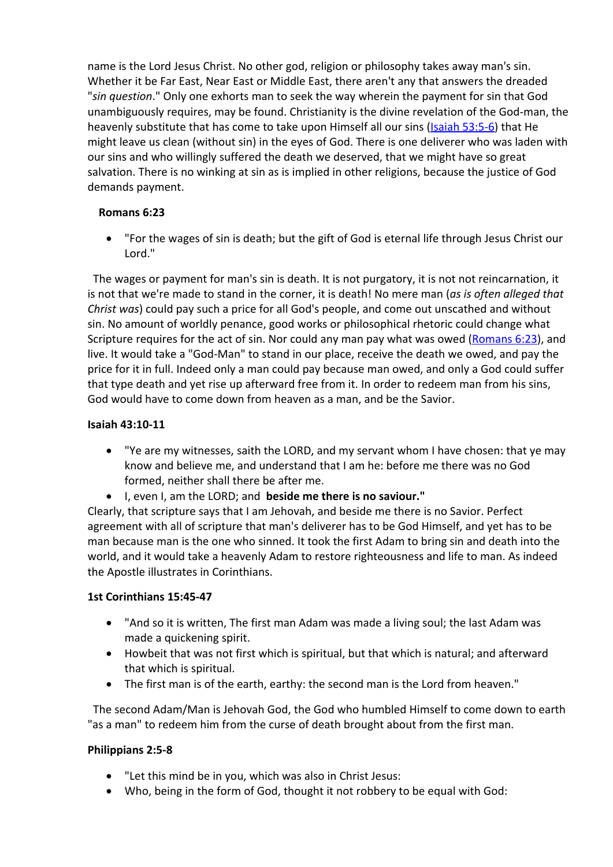name is the Lord Jesus Christ. No other god, religion or philosophy takes away man's sin. Whether it be Far East, Near East or Middle East, there aren't any that answers the dreaded "*sin question*." Only one exhorts man to seek the way wherein the payment for sin that God unambiguously requires, may be found. Christianity is the divine revelation of the God-man, the heavenly substitute that has come to take upon Himself all our sins [\(Isaiah](http://www.mountainretreat.org/bibleit/bibleit.cgi) [53:5-6](http://www.mountainretreat.org/bibleit/bibleit.cgi)) that He might leave us clean (without sin) in the eyes of God. There is one deliverer who was laden with our sins and who willingly suffered the death we deserved, that we might have so great salvation. There is no winking at sin as is implied in other religions, because the justice of God demands payment.

# **Romans 6:23**

 "For the wages of sin is death; but the gift of God is eternal life through Jesus Christ our Lord."

The wages or payment for man's sin is death. It is not purgatory, it is not not reincarnation, it is not that we're made to stand in the corner, it is death! No mere man (*as is often alleged that Christ was*) could pay such a price for all God's people, and come out unscathed and without sin. No amount of worldly penance, good works or philosophical rhetoric could change what Scripture requires for the act of sin. Nor could any man pay what was owed ([Romans](http://www.mountainretreat.org/bibleit/bibleit.cgi) [6:23\)](http://www.mountainretreat.org/bibleit/bibleit.cgi), and live. It would take a "God-Man" to stand in our place, receive the death we owed, and pay the price for it in full. Indeed only a man could pay because man owed, and only a God could suffer that type death and yet rise up afterward free from it. In order to redeem man from his sins, God would have to come down from heaven as a man, and be the Savior.

# **Isaiah 43:10-11**

- "Ye are my witnesses, saith the LORD, and my servant whom I have chosen: that ye may know and believe me, and understand that I am he: before me there was no God formed, neither shall there be after me.
- I, even I, am the LORD; and **beside me there is no saviour."**

Clearly, that scripture says that I am Jehovah, and beside me there is no Savior. Perfect agreement with all of scripture that man's deliverer has to be God Himself, and yet has to be man because man is the one who sinned. It took the first Adam to bring sin and death into the world, and it would take a heavenly Adam to restore righteousness and life to man. As indeed the Apostle illustrates in Corinthians.

# **1st Corinthians 15:45-47**

- "And so it is written, The first man Adam was made a living soul; the last Adam was made a quickening spirit.
- Howbeit that was not first which is spiritual, but that which is natural; and afterward that which is spiritual.
- The first man is of the earth, earthy: the second man is the Lord from heaven."

The second Adam/Man is Jehovah God, the God who humbled Himself to come down to earth "as a man" to redeem him from the curse of death brought about from the first man.

# **Philippians 2:5-8**

- "Let this mind be in you, which was also in Christ Jesus:
- Who, being in the form of God, thought it not robbery to be equal with God: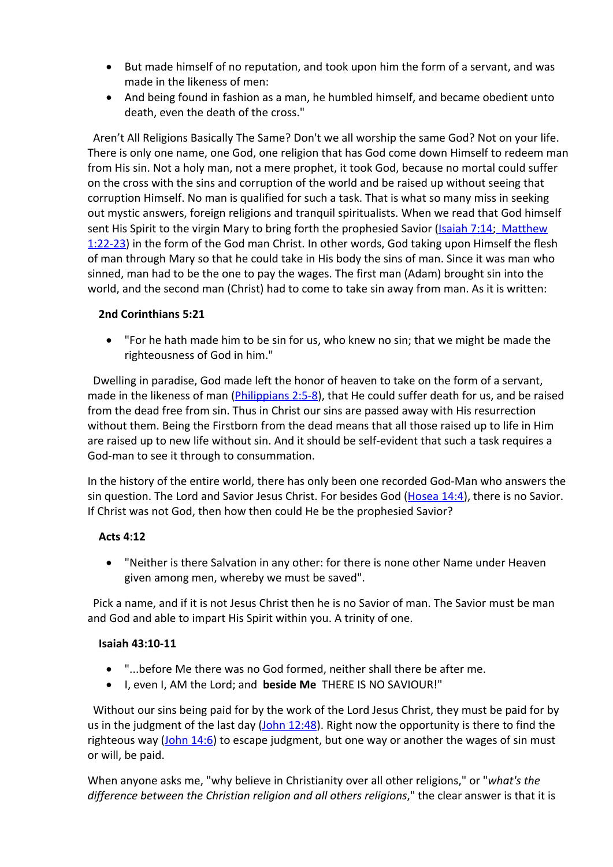- But made himself of no reputation, and took upon him the form of a servant, and was made in the likeness of men:
- And being found in fashion as a man, he humbled himself, and became obedient unto death, even the death of the cross."

Aren't All Religions Basically The Same? Don't we all worship the same God? Not on your life. There is only one name, one God, one religion that has God come down Himself to redeem man from His sin. Not a holy man, not a mere prophet, it took God, because no mortal could suffer on the cross with the sins and corruption of the world and be raised up without seeing that corruption Himself. No man is qualified for such a task. That is what so many miss in seeking out mystic answers, foreign religions and tranquil spiritualists. When we read that God himself sent His Spirit to the virgin Mary to bring forth the prophesied Savior [\(Isaiah](http://www.mountainretreat.org/bibleit/bibleit.cgi) [7:14;](http://www.mountainretreat.org/bibleit/bibleit.cgi) [Matthew](http://www.mountainretreat.org/bibleit/bibleit.cgi) [1:22-23](http://www.mountainretreat.org/bibleit/bibleit.cgi)) in the form of the God man Christ. In other words, God taking upon Himself the flesh of man through Mary so that he could take in His body the sins of man. Since it was man who sinned, man had to be the one to pay the wages. The first man (Adam) brought sin into the world, and the second man (Christ) had to come to take sin away from man. As it is written:

# **2nd Corinthians 5:21**

 "For he hath made him to be sin for us, who knew no sin; that we might be made the righteousness of God in him."

Dwelling in paradise, God made left the honor of heaven to take on the form of a servant, made in the likeness of man (*Philippians 2:5-8*), that He could suffer death for us, and be raised from the dead free from sin. Thus in Christ our sins are passed away with His resurrection without them. Being the Firstborn from the dead means that all those raised up to life in Him are raised up to new life without sin. And it should be self-evident that such a task requires a God-man to see it through to consummation.

In the history of the entire world, there has only been one recorded God-Man who answers the sin question. The Lord and Savior Jesus Christ. For besides God [\(Hosea](http://www.mountainretreat.org/bibleit/bibleit.cgi) [14:4](http://www.mountainretreat.org/bibleit/bibleit.cgi)), there is no Savior. If Christ was not God, then how then could He be the prophesied Savior?

# **Acts 4:12**

 "Neither is there Salvation in any other: for there is none other Name under Heaven given among men, whereby we must be saved".

Pick a name, and if it is not Jesus Christ then he is no Savior of man. The Savior must be man and God and able to impart His Spirit within you. A trinity of one.

# **Isaiah 43:10-11**

- "...before Me there was no God formed, neither shall there be after me.
- I, even I, AM the Lord; and **beside Me** THERE IS NO SAVIOUR!"

Without our sins being paid for by the work of the Lord Jesus Christ, they must be paid for by us in the judgment of the last day ([John](http://www.mountainretreat.org/bibleit/bibleit.cgi) [12:48\)](http://www.mountainretreat.org/bibleit/bibleit.cgi). Right now the opportunity is there to find the righteous way  $\left(\frac{\text{John }14:6}{\text{ to escape judgment}}\right)$  $\left(\frac{\text{John }14:6}{\text{ to escape judgment}}\right)$  $\left(\frac{\text{John }14:6}{\text{ to escape judgment}}\right)$  both the way or another the wages of sin must or will, be paid.

When anyone asks me, "why believe in Christianity over all other religions," or "*what's the difference between the Christian religion and all others religions*," the clear answer is that it is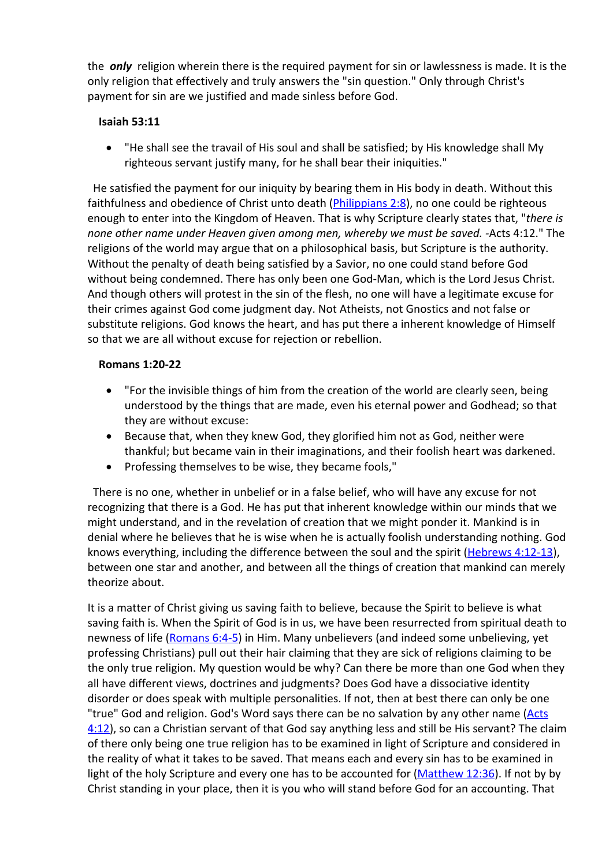the *only* religion wherein there is the required payment for sin or lawlessness is made. It is the only religion that effectively and truly answers the "sin question." Only through Christ's payment for sin are we justified and made sinless before God.

#### **Isaiah 53:11**

 "He shall see the travail of His soul and shall be satisfied; by His knowledge shall My righteous servant justify many, for he shall bear their iniquities."

He satisfied the payment for our iniquity by bearing them in His body in death. Without this faithfulness and obedience of Christ unto death (*[Philippians](http://www.mountainretreat.org/bibleit/bibleit.cgi) 2:8*), no one could be righteous enough to enter into the Kingdom of Heaven. That is why Scripture clearly states that, "*there is none other name under Heaven given among men, whereby we must be saved. -*Acts 4:12." The religions of the world may argue that on a philosophical basis, but Scripture is the authority. Without the penalty of death being satisfied by a Savior, no one could stand before God without being condemned. There has only been one God-Man, which is the Lord Jesus Christ. And though others will protest in the sin of the flesh, no one will have a legitimate excuse for their crimes against God come judgment day. Not Atheists, not Gnostics and not false or substitute religions. God knows the heart, and has put there a inherent knowledge of Himself so that we are all without excuse for rejection or rebellion.

#### **Romans 1:20-22**

- "For the invisible things of him from the creation of the world are clearly seen, being understood by the things that are made, even his eternal power and Godhead; so that they are without excuse:
- Because that, when they knew God, they glorified him not as God, neither were thankful; but became vain in their imaginations, and their foolish heart was darkened.
- Professing themselves to be wise, they became fools,"

There is no one, whether in unbelief or in a false belief, who will have any excuse for not recognizing that there is a God. He has put that inherent knowledge within our minds that we might understand, and in the revelation of creation that we might ponder it. Mankind is in denial where he believes that he is wise when he is actually foolish understanding nothing. God knows everything, including the difference between the soul and the spirit [\(Hebrews](http://www.mountainretreat.org/bibleit/bibleit.cgi) [4:12-13](http://www.mountainretreat.org/bibleit/bibleit.cgi)), between one star and another, and between all the things of creation that mankind can merely theorize about.

It is a matter of Christ giving us saving faith to believe, because the Spirit to believe is what saving faith is. When the Spirit of God is in us, we have been resurrected from spiritual death to newness of life [\(Romans](http://www.mountainretreat.org/bibleit/bibleit.cgi) [6:4-5](http://www.mountainretreat.org/bibleit/bibleit.cgi)) in Him. Many unbelievers (and indeed some unbelieving, yet professing Christians) pull out their hair claiming that they are sick of religions claiming to be the only true religion. My question would be why? Can there be more than one God when they all have different views, doctrines and judgments? Does God have a dissociative identity disorder or does speak with multiple personalities. If not, then at best there can only be one "true" God and religion. God's Word says there can be no salvation by any other name ([Acts](http://www.mountainretreat.org/bibleit/bibleit.cgi) [4:12\)](http://www.mountainretreat.org/bibleit/bibleit.cgi), so can a Christian servant of that God say anything less and still be His servant? The claim of there only being one true religion has to be examined in light of Scripture and considered in the reality of what it takes to be saved. That means each and every sin has to be examined in light of the holy Scripture and every one has to be accounted for [\(Matthew](http://www.mountainretreat.org/bibleit/bibleit.cgi) [12:36\)](http://www.mountainretreat.org/bibleit/bibleit.cgi). If not by by Christ standing in your place, then it is you who will stand before God for an accounting. That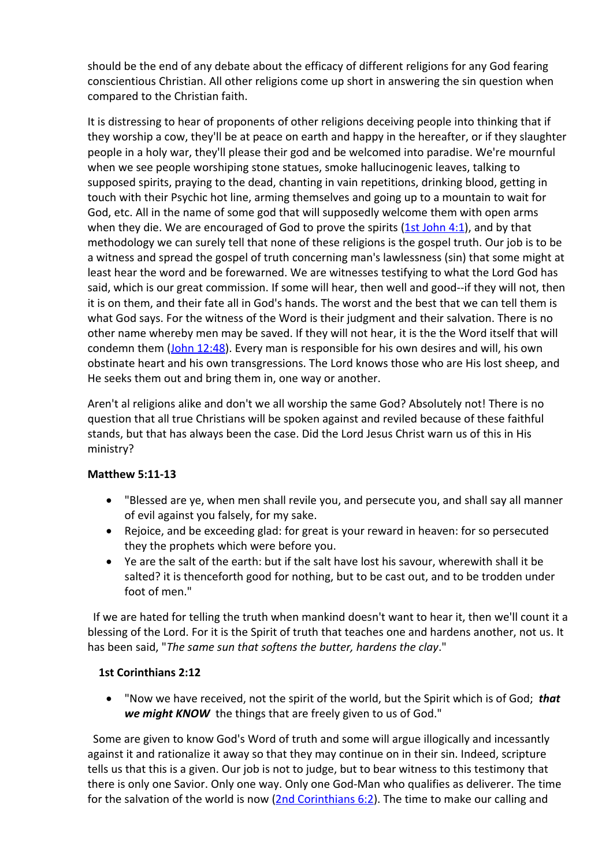should be the end of any debate about the efficacy of different religions for any God fearing conscientious Christian. All other religions come up short in answering the sin question when compared to the Christian faith.

It is distressing to hear of proponents of other religions deceiving people into thinking that if they worship a cow, they'll be at peace on earth and happy in the hereafter, or if they slaughter people in a holy war, they'll please their god and be welcomed into paradise. We're mournful when we see people worshiping stone statues, smoke hallucinogenic leaves, talking to supposed spirits, praying to the dead, chanting in vain repetitions, drinking blood, getting in touch with their Psychic hot line, arming themselves and going up to a mountain to wait for God, etc. All in the name of some god that will supposedly welcome them with open arms when they die. We are encouraged of God to prove the spirits  $(1st John 4:1)$  $(1st John 4:1)$  $(1st John 4:1)$  $(1st John 4:1)$  $(1st John 4:1)$  $(1st John 4:1)$ , and by that methodology we can surely tell that none of these religions is the gospel truth. Our job is to be a witness and spread the gospel of truth concerning man's lawlessness (sin) that some might at least hear the word and be forewarned. We are witnesses testifying to what the Lord God has said, which is our great commission. If some will hear, then well and good--if they will not, then it is on them, and their fate all in God's hands. The worst and the best that we can tell them is what God says. For the witness of the Word is their judgment and their salvation. There is no other name whereby men may be saved. If they will not hear, it is the the Word itself that will condemn them ([John](http://www.mountainretreat.org/bibleit/bibleit.cgi) [12:48\)](http://www.mountainretreat.org/bibleit/bibleit.cgi). Every man is responsible for his own desires and will, his own obstinate heart and his own transgressions. The Lord knows those who are His lost sheep, and He seeks them out and bring them in, one way or another.

Aren't al religions alike and don't we all worship the same God? Absolutely not! There is no question that all true Christians will be spoken against and reviled because of these faithful stands, but that has always been the case. Did the Lord Jesus Christ warn us of this in His ministry?

# **Matthew 5:11-13**

- "Blessed are ye, when men shall revile you, and persecute you, and shall say all manner of evil against you falsely, for my sake.
- Rejoice, and be exceeding glad: for great is your reward in heaven: for so persecuted they the prophets which were before you.
- Ye are the salt of the earth: but if the salt have lost his savour, wherewith shall it be salted? it is thenceforth good for nothing, but to be cast out, and to be trodden under foot of men."

If we are hated for telling the truth when mankind doesn't want to hear it, then we'll count it a blessing of the Lord. For it is the Spirit of truth that teaches one and hardens another, not us. It has been said, "*The same sun that softens the butter, hardens the clay*."

# **1st Corinthians 2:12**

 "Now we have received, not the spirit of the world, but the Spirit which is of God; *that we might KNOW* the things that are freely given to us of God."

Some are given to know God's Word of truth and some will argue illogically and incessantly against it and rationalize it away so that they may continue on in their sin. Indeed, scripture tells us that this is a given. Our job is not to judge, but to bear witness to this testimony that there is only one Savior. Only one way. Only one God-Man who qualifies as deliverer. The time for the salvation of the world is now ([2nd](http://www.mountainretreat.org/bibleit/bibleit.cgi) [Corinthians](http://www.mountainretreat.org/bibleit/bibleit.cgi) [6:2](http://www.mountainretreat.org/bibleit/bibleit.cgi)). The time to make our calling and